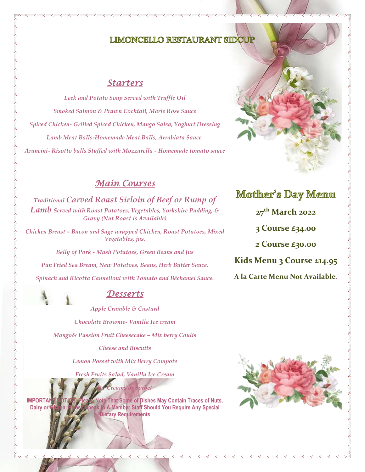## **LIMONCELLO RESTAURANT SIDC**

#### *Starters*

*Leek and Potato Soup Served with Truffle Oil Smoked Salmon & Prawn Cocktail, Marie Rose Sauce Spiced Chicken- Grilled Spiced Chicken, Mango Salsa, Yoghurt Dressing Lamb Meat Balls-Homemade Meat Balls, Arrabiata Sauce. Arancini- Risotto balls Stuffed with Mozzarella - Homemade tomato sauce* 

### *Main Courses*

*Traditional Carved Roast Sirloin of Beef or Rump of Lamb Served with Roast Potatoes, Vegetables, Yorkshire Pudding, & Gravy (Nut Roast is Available)*

*Chicken Breast – Bacon and Sage wrapped Chicken, Roast Potatoes, Mixed Vegetables, jus.*

*Belly of Pork - Mash Potatoes, Green Beans and Jus*

*Pan Fried Sea Bream, New Potatoes, Beans, Herb Butter Sauce. Spinach and Ricotta Cannelloni with Tomato and Béchamel Sauce.*



### *Desserts*

*Apple Crumble & Custard* 

*Chocolate Brownie- Vanilla Ice cream*

*Mango& Passion Fruit Cheesecake – Mix berry Coulis* 

*Cheese and Biscuits* 

*Lemon Posset with Mix Berry Compote*

*Fresh Fruits Salad, Vanilla Ice Cream*

**IMPORTANT NOTICE: Please Note That Some of Dishes May Contain Traces of Nuts, Dairy or Gluten. Please Speak to A Member Staff Should You Require Any Special Dietary Requirements**

*Ice Creams or Sorbet*

## **Mother's Day Menu**

**27th March 2022**

**3 Course £34.00**

**2 Course £30.00**

**Kids Menu 3 Course £14.95** 

**A la Carte Menu Not Available**.

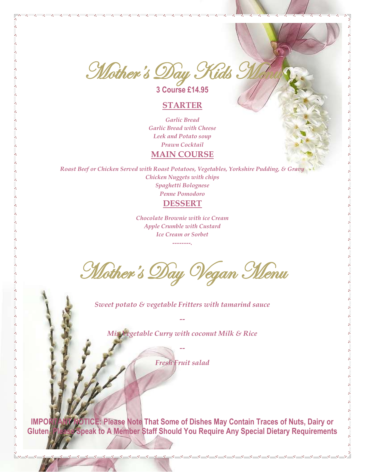Mother's Day Kids M

**3 Course £14.95**

#### **STARTER**

。<br>。。 。。<br>。。  $\overline{\phantom{0}}$  $\frac{1}{2}$ 

 $\frac{8}{30} - \frac{8}{30}$ 

。。。。。

。<br>。。

 $30 - 30 - 30 - 30 - 30 - 30$ 

*Garlic Bread Garlic Bread with Cheese Leek and Potato soup Prawn Cocktail*  **MAIN COURSE**

*Roast Beef or Chicken Served with Roast Potatoes, Vegetables, Yorkshire Pudding, & Gravy Chicken Nuggets with chips Spaghetti Bolognese Penne Pomodoro* 

# **DESSERT**

*Chocolate Brownie with ice Cream Apple Crumble with Custard Ice Cream or Sorbet --------.*

**Mother's Day Vegan Menu** 

*Sweet potato & vegetable Fritters with tamarind sauce*

*--*

*Mix Vegetable Curry with coconut Milk & Rice*

*Fresh Fruit salad* 

*--*

**IMPORTANT NOTICE: Please Note That Some of Dishes May Contain Traces of Nuts, Dairy or Gluten. Please Speak to A Member Staff Should You Require Any Special Dietary Requirements**